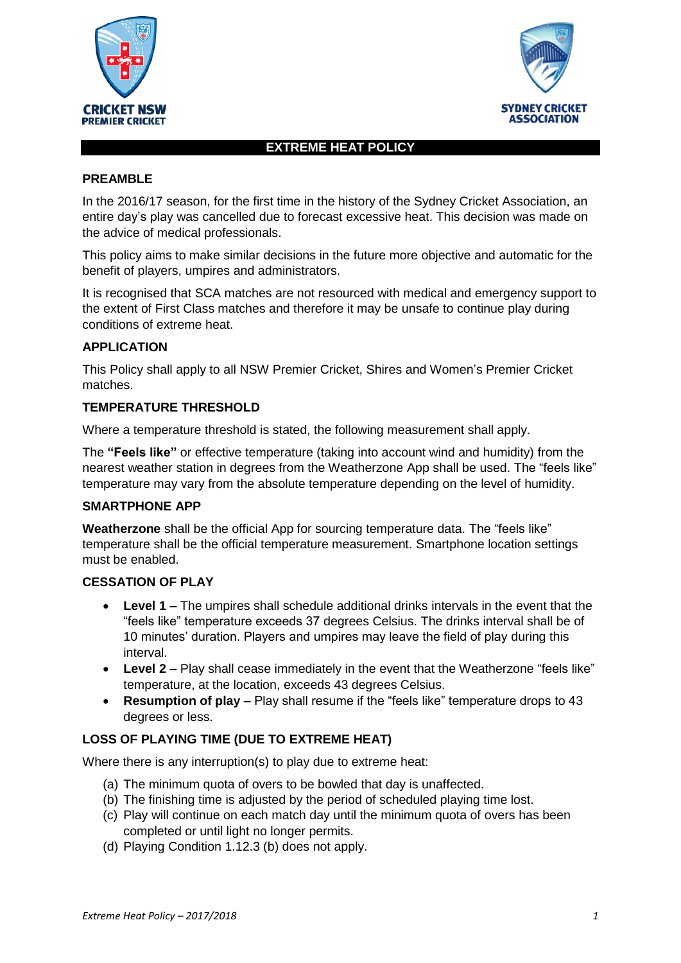



## **EXTREME HEAT POLICY**

### **PREAMBLE**

In the 2016/17 season, for the first time in the history of the Sydney Cricket Association, an entire day's play was cancelled due to forecast excessive heat. This decision was made on the advice of medical professionals.

This policy aims to make similar decisions in the future more objective and automatic for the benefit of players, umpires and administrators.

It is recognised that SCA matches are not resourced with medical and emergency support to the extent of First Class matches and therefore it may be unsafe to continue play during conditions of extreme heat.

### **APPLICATION**

This Policy shall apply to all NSW Premier Cricket, Shires and Women's Premier Cricket matches.

#### **TEMPERATURE THRESHOLD**

Where a temperature threshold is stated, the following measurement shall apply.

The **"Feels like"** or effective temperature (taking into account wind and humidity) from the nearest weather station in degrees from the Weatherzone App shall be used. The "feels like" temperature may vary from the absolute temperature depending on the level of humidity.

### **SMARTPHONE APP**

**Weatherzone** shall be the official App for sourcing temperature data. The "feels like" temperature shall be the official temperature measurement. Smartphone location settings must be enabled.

### **CESSATION OF PLAY**

- **Level 1 –** The umpires shall schedule additional drinks intervals in the event that the "feels like" temperature exceeds 37 degrees Celsius. The drinks interval shall be of 10 minutes' duration. Players and umpires may leave the field of play during this interval.
- **Level 2 –** Play shall cease immediately in the event that the Weatherzone "feels like" temperature, at the location, exceeds 43 degrees Celsius.
- **Resumption of play –** Play shall resume if the "feels like" temperature drops to 43 degrees or less.

### **LOSS OF PLAYING TIME (DUE TO EXTREME HEAT)**

Where there is any interruption(s) to play due to extreme heat:

- (a) The minimum quota of overs to be bowled that day is unaffected.
- (b) The finishing time is adjusted by the period of scheduled playing time lost.
- (c) Play will continue on each match day until the minimum quota of overs has been completed or until light no longer permits.
- (d) Playing Condition 1.12.3 (b) does not apply.